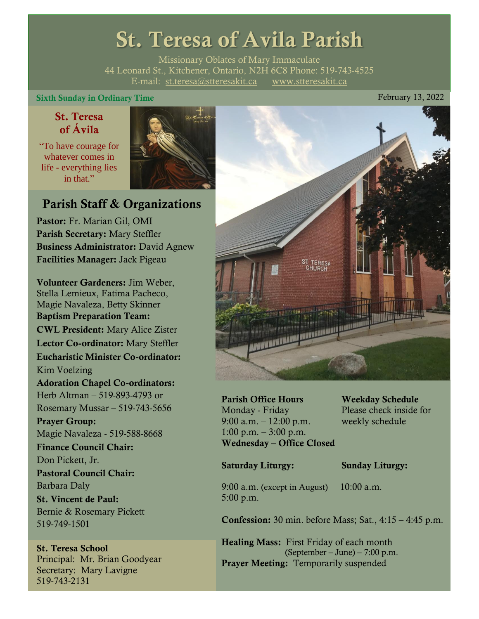# St. Teresa of Avila Parish

Missionary Oblates of Mary Immaculate 44 Leonard St., Kitchener, Ontario, N2H 6C8 Phone: 519-743-4525 E-mail: [st.teresa@stteresakit.ca](mailto:st.teresa@stteresakit.ca) [www.stteresakit.ca](http://www.stteresakit.ca/)

#### Sixth Sunday in Ordinary Time February 13, 2022

#### St. Teresa of Ávila

"To have courage for whatever comes in life - everything lies in that"



### Parish Staff & Organizations

Pastor: Fr. Marian Gil, OMI Parish Secretary: Mary Steffler Business Administrator: David Agnew Facilities Manager: Jack Pigeau

Volunteer Gardeners: Jim Weber, Stella Lemieux, Fatima Pacheco, Magie Navaleza, Betty Skinner Baptism Preparation Team: CWL President: Mary Alice Zister Lector Co-ordinator: Mary Steffler Eucharistic Minister Co-ordinator: Kim Voelzing Adoration Chapel Co-ordinators: Herb Altman – 519-893-4793 or Rosemary Mussar – 519-743-5656 Prayer Group: Magie Navaleza - 519-588-8668 Finance Council Chair: Don Pickett, Jr. Pastoral Council Chair: Barbara Daly St. Vincent de Paul: Bernie & Rosemary Pickett 519-749-1501

#### St. Teresa School Principal: Mr. Brian Goodyear Secretary: Mary Lavigne 519-743-2131



Parish Office Hours Weekday Schedule Monday - Friday Please check inside for 9:00 a.m. – 12:00 p.m. weekly schedule  $1:00 \text{ p.m.} - 3:00 \text{ p.m.}$ Wednesday – Office Closed

#### Saturday Liturgy: Sunday Liturgy:

9:00 a.m. (except in August) 10:00 a.m. 5:00 p.m.

Confession: 30 min. before Mass; Sat., 4:15 – 4:45 p.m.

Healing Mass: First Friday of each month (September – June) – 7:00 p.m. Prayer Meeting: Temporarily suspended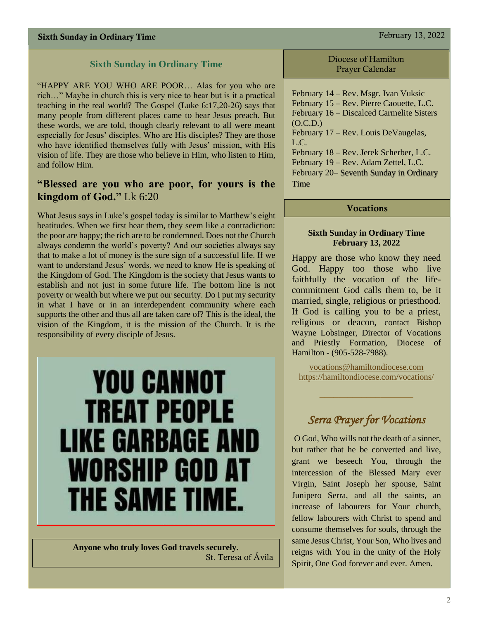#### **Sixth Sunday in Ordinary Time**

"HAPPY ARE YOU WHO ARE POOR… Alas for you who are rich…" Maybe in church this is very nice to hear but is it a practical teaching in the real world? The Gospel (Luke 6:17,20-26) says that many people from different places came to hear Jesus preach. But these words, we are told, though clearly relevant to all were meant especially for Jesus' disciples. Who are His disciples? They are those who have identified themselves fully with Jesus' mission, with His vision of life. They are those who believe in Him, who listen to Him, and follow Him.

#### **"Blessed are you who are poor, for yours is the kingdom of God."** Lk 6:20

What Jesus says in Luke's gospel today is similar to Matthew's eight beatitudes. When we first hear them, they seem like a contradiction: the poor are happy; the rich are to be condemned. Does not the Church always condemn the world's poverty? And our societies always say that to make a lot of money is the sure sign of a successful life. If we want to understand Jesus' words, we need to know He is speaking of the Kingdom of God. The Kingdom is the society that Jesus wants to establish and not just in some future life. The bottom line is not poverty or wealth but where we put our security. Do I put my security in what I have or in an interdependent community where each supports the other and thus all are taken care of? This is the ideal, the vision of the Kingdom, it is the mission of the Church. It is the responsibility of every disciple of Jesus.

# **YOU CANNOT TREAT PEOPLE LIKE GARBAGE AND** WORSHIP GOD AT THE SAME TIME.

**Anyone who truly loves God travels securely.** St. Teresa of Ávila Diocese of Hamilton Prayer Calendar

February 14 – Rev. Msgr. Ivan Vuksic February 15 – Rev. Pierre Caouette, L.C. February 16 – Discalced Carmelite Sisters  $(O.C.D.)$ February 17 – Rev. Louis DeVaugelas, L.C. February 18 – Rev. Jerek Scherber, L.C. February 19 – Rev. Adam Zettel, L.C. February 20– Seventh Sunday in Ordinary Time

#### Vocations

#### **Sixth Sunday in Ordinary Time February 13, 2022**

Happy are those who know they need God. Happy too those who live faithfully the vocation of the lifecommitment God calls them to, be it married, single, religious or priesthood. If God is calling you to be a priest, religious or deacon, contact Bishop Wayne Lobsinger, Director of Vocations and Priestly Formation, Diocese of Hamilton - (905-528-7988).

[vocations@hamiltondiocese.com](mailto:vocations@hamiltondiocese.com)  <https://hamiltondiocese.com/vocations/>

### *Serra Prayer for Vocations*

O God, Who wills not the death of a sinner, but rather that he be converted and live, grant we beseech You, through the intercession of the Blessed Mary ever Virgin, Saint Joseph her spouse, Saint Junipero Serra, and all the saints, an increase of labourers for Your church, fellow labourers with Christ to spend and consume themselves for souls, through the same Jesus Christ, Your Son, Who lives and reigns with You in the unity of the Holy Spirit, One God forever and ever. Amen.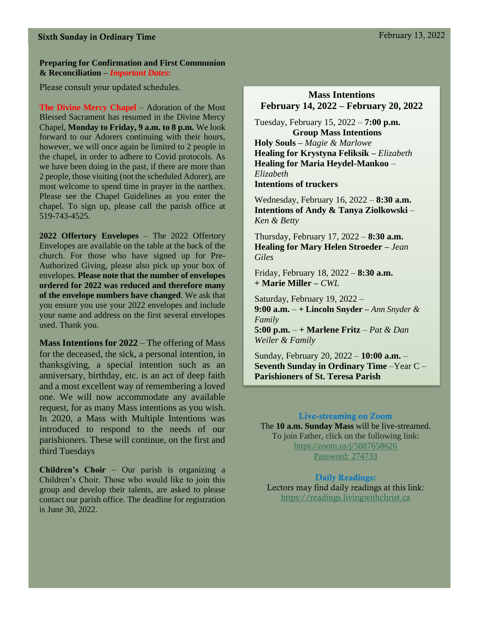#### Sixth Sunday in Ordinary Time February 13, 2022

#### **Preparing for Confirmation and First Communion & Reconciliation –** *Important Dates:*

Please consult your updated schedules.

**The Divine Mercy Chapel** – Adoration of the Most Blessed Sacrament has resumed in the Divine Mercy Chapel, **Monday to Friday, 9 a.m. to 8 p.m.** We look forward to our Adorers continuing with their hours, however, we will once again be limited to 2 people in the chapel, in order to adhere to Covid protocols. As we have been doing in the past, if there are more than 2 people, those visiting (not the scheduled Adorer), are most welcome to spend time in prayer in the narthex. Please see the Chapel Guidelines as you enter the chapel. To sign up, please call the parish office at 519-743-4525.

**2022 Offertory Envelopes** – The 2022 Offertory Envelopes are available on the table at the back of the church. For those who have signed up for Pre-Authorized Giving, please also pick up your box of envelopes. **Please note that the number of envelopes ordered for 2022 was reduced and therefore many of the envelope numbers have changed**. We ask that you ensure you use your 2022 envelopes and include your name and address on the first several envelopes used. Thank you.

**Mass Intentions for 2022** – The offering of Mass for the deceased, the sick, a personal intention, in thanksgiving, a special intention such as an anniversary, birthday, etc. is an act of deep faith and a most excellent way of remembering a loved one. We will now accommodate any available request, for as many Mass intentions as you wish. In 2020, a Mass with Multiple Intentions was introduced to respond to the needs of our parishioners. These will continue, on the first and third Tuesdays

**Children's Choir** – Our parish is organizing a Children's Choir. Those who would like to join this group and develop their talents, are asked to please contact our parish office. The deadline for registration is June 30, 2022.

#### **Mass Intentions February 14, 2022 – February 20, 2022**

Tuesday, February 15, 2022 – **7:00 p.m. Group Mass Intentions Holy Souls –** *Magie & Marlowe* **Healing for Krystyna Feliksik –** *Elizabeth* **Healing for Maria Heydel-Mankoo** *– Elizabeth* **Intentions of truckers**

Wednesday, February 16, 2022 – **8:30 a.m. Intentions of Andy & Tanya Ziolkowski** *– Ken & Betty* 

Thursday, February 17, 2022 – **8:30 a.m. Healing for Mary Helen Stroeder –** *Jean Giles*

Friday, February 18, 2022 – **8:30 a.m.** **+ Marie Miller –** *CWL*

Saturday, February 19, 2022 – **9:00 a.m.** – **+ Lincoln Snyder –** *Ann Snyder & Family* **5:00 p.m.** – **+ Marlene Fritz** – *Pat & Dan* 

*Weiler & Family*

Sunday, February 20, 2022 – **10:00 a.m.** – **Seventh Sunday in Ordinary Time** –Year C – **Parishioners of St. Teresa Parish** 

#### Live-streaming on Zoom

The **10 a.m. Sunday Mass** will be live-streamed. To join Father, click on the following link: <https://zoom.us/j/5887658626> Password: 274733

Daily Readings: Lectors may find daily readings at this link: [https://readings.livingwithchrist.ca](https://readings.livingwithchrist.ca/)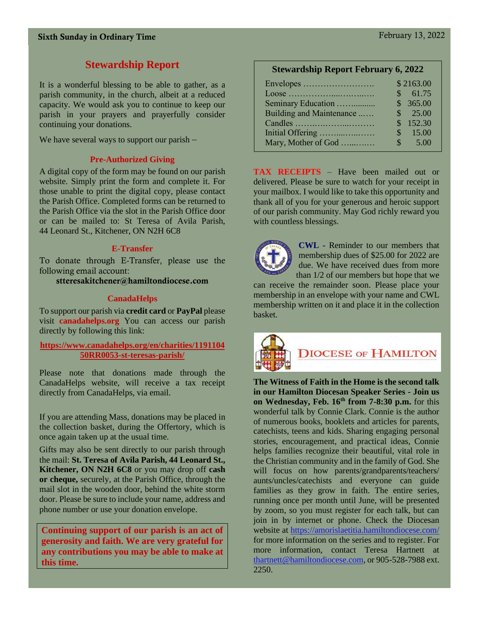#### **Stewardship Report**

It is a wonderful blessing to be able to gather, as a parish community, in the church, albeit at a reduced capacity. We would ask you to continue to keep our parish in your prayers and prayerfully consider continuing your donations.

We have several ways to support our parish –

#### **Pre-Authorized Giving**

A digital copy of the form may be found on our parish website. Simply print the form and complete it. For those unable to print the digital copy, please contact the Parish Office. Completed forms can be returned to the Parish Office via the slot in the Parish Office door or can be mailed to: St Teresa of Avila Parish, 44 Leonard St., Kitchener, ON N2H 6C8

#### **E-Transfer**

To donate through E-Transfer, please use the following email account:

stteresakitchener@hamiltondiocese.com

#### **CanadaHelps**

To support our parish via **credit card** or **PayPal** please visit **canadahelps.org** You can access our parish directly by following this link:

#### **[https://www.canadahelps.org/en/charities/1191104](https://www.canadahelps.org/en/charities/119110450RR0053-st-teresas-parish/) [50RR0053-st-teresas-parish/](https://www.canadahelps.org/en/charities/119110450RR0053-st-teresas-parish/)**

Please note that donations made through the CanadaHelps website, will receive a tax receipt directly from CanadaHelps, via email.

If you are attending Mass, donations may be placed in the collection basket, during the Offertory, which is once again taken up at the usual time.

Gifts may also be sent directly to our parish through the mail: **St. Teresa of Avila Parish, 44 Leonard St., Kitchener, ON N2H 6C8** or you may drop off **cash or cheque,** securely, at the Parish Office, through the mail slot in the wooden door, behind the white storm door. Please be sure to include your name, address and phone number or use your donation envelope.

**Continuing support of our parish is an act of generosity and faith. We are very grateful for any contributions you may be able to make at this time.**

#### **Stewardship Report February 6, 2022**

|                          | \$2163.00 |
|--------------------------|-----------|
|                          | \$61.75   |
| Seminary Education       | \$365.00  |
| Building and Maintenance | \$ 25.00  |
|                          | \$152.30  |
| Initial Offering         | \$15.00   |
| Mary, Mother of God      | \$5.00    |

**TAX RECEIPTS** – Have been mailed out or delivered. Please be sure to watch for your receipt in your mailbox. I would like to take this opportunity and thank all of you for your generous and heroic support of our parish community. May God richly reward you with countless blessings.



**CWL -** Reminder to our members that membership dues of \$25.00 for 2022 are due. We have received dues from more than 1/2 of our members but hope that we

can receive the remainder soon. Please place your membership in an envelope with your name and CWL membership written on it and place it in the collection basket.



# **DIOCESE OF HAMILTON**

**The Witness of Faith in the Home is the second talk in our Hamilton Diocesan Speaker Series - Join us on Wednesday, Feb. 16th from 7-8:30 p.m.** for this wonderful talk by Connie Clark. Connie is the author of numerous books, booklets and articles for parents, catechists, teens and kids. Sharing engaging personal stories, encouragement, and practical ideas, Connie helps families recognize their beautiful, vital role in the Christian community and in the family of God. She will focus on how parents/grandparents/teachers/ aunts/uncles/catechists and everyone can guide families as they grow in faith. The entire series, running once per month until June, will be presented by zoom, so you must register for each talk, but can join in by internet or phone. Check the Diocesan website at<https://amorislaetitia.hamiltondiocese.com/> for more information on the series and to register. For more information, contact Teresa Hartnett at [thartnett@hamiltondiocese.com,](mailto:thartnett@hamiltondiocese.com) or 905-528-7988 ext. 2250.